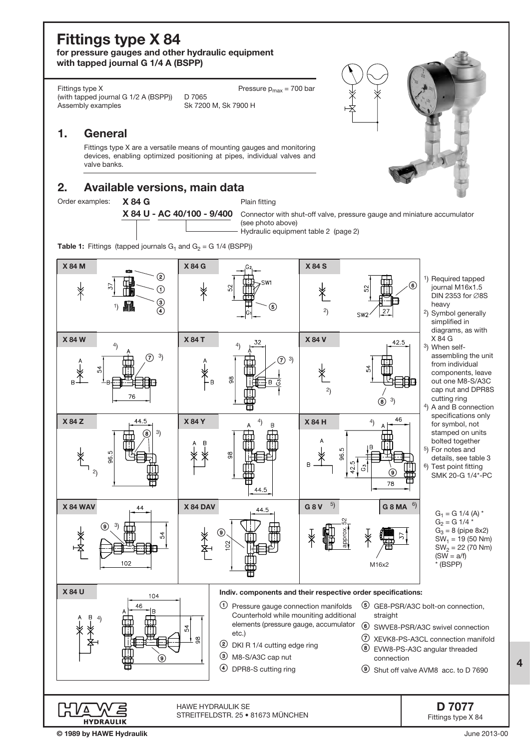# Fittings type X 84

for pressure gauges and other hydraulic equipment with tapped journal G 1/4 A (BSPP)

Fittings type X (with tapped journal G 1/2 A (BSPP)) D 7065<br>Assembly examples Sk 720

Sk 7200 M, Sk 7900 H Pressure  $p_{max}$  = 700 bar

### 1. General

Fittings type X are a versatile means of mounting gauges and monitoring devices, enabling optimized positioning at pipes, individual valves and valve banks.

## 2. Available versions, main data

Order examples: X 84 G

X 84 U - AC 40/100 - 9/400 Plain fitting

Connector with shut-off valve, pressure gauge and miniature accumulator (see photo above) Hydraulic equipment table 2 (page 2)

**Table 1:** Fittings (tapped journals  $G_1$  and  $G_2 = G$  1/4 (BSPP))



© 1989 by HAWE Hydraulik

4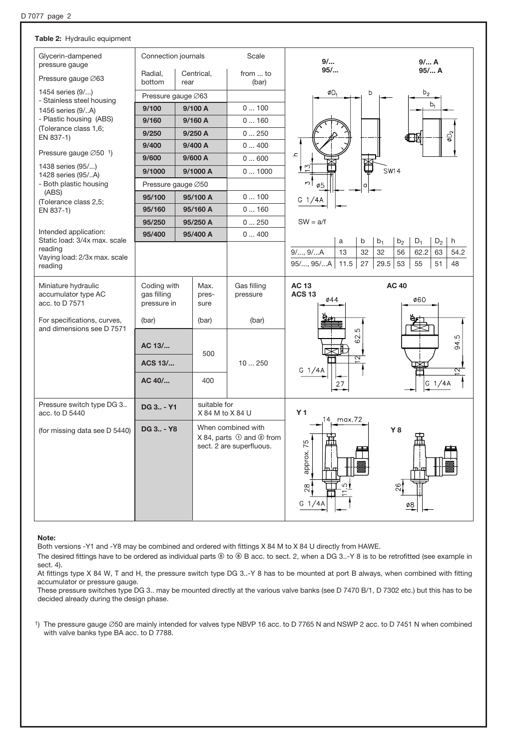| Table 2: Hydraulic equipment                             |                            |      |                                  |                                        |                          |                                 |                                                          |  |  |  |
|----------------------------------------------------------|----------------------------|------|----------------------------------|----------------------------------------|--------------------------|---------------------------------|----------------------------------------------------------|--|--|--|
| Glycerin-dampened<br>pressure gauge                      | Connection journals        |      | Scale                            | 9/                                     |                          | 9/ A                            |                                                          |  |  |  |
| Pressure gauge Ø63                                       | Radial,<br>bottom          | rear | Centrical,                       | from  to<br>(bar)                      | 95/                      | 95/ A                           |                                                          |  |  |  |
| 1454 series (9/)                                         | Pressure gauge Ø63         |      |                                  |                                        | ØD <sub>1</sub>          | b                               | b <sub>2</sub>                                           |  |  |  |
| - Stainless steel housing<br>1456 series (9/A)           | 9/100<br>9/100 A           |      |                                  | 0100                                   |                          |                                 | $b_1$                                                    |  |  |  |
| - Plastic housing (ABS)                                  | 9/160                      |      | 9/160 A                          | 0160                                   |                          |                                 |                                                          |  |  |  |
| (Tolerance class 1,6;<br>EN 837-1)                       | 9/250                      |      | 9/250 A                          | 0250                                   |                          |                                 | øD <sub>2</sub><br>⊕⊞                                    |  |  |  |
|                                                          | 9/400                      |      | 9/400 A                          | 0400                                   |                          |                                 |                                                          |  |  |  |
| Pressure gauge $\varnothing$ 50 <sup>1</sup> )           | 9/600                      |      | 9/600 A                          | 0600                                   | $\mathbf{r}$             |                                 |                                                          |  |  |  |
| 1438 series (95/)<br>1428 series (95/A)                  | 9/1000                     |      | 9/1000 A                         | 01000                                  | 15                       | ₩<br><b>SW14</b>                |                                                          |  |  |  |
| - Both plastic housing                                   | Pressure gauge Ø50         |      |                                  |                                        | $\sim$<br>ø5             |                                 |                                                          |  |  |  |
| (ABS)                                                    | 95/100                     |      | 95/100 A                         | 0100                                   | G 1/4A                   |                                 |                                                          |  |  |  |
| (Tolerance class 2,5;<br>EN 837-1)                       | 95/160                     |      | 95/160 A                         | 0160                                   |                          |                                 |                                                          |  |  |  |
|                                                          | 95/250                     |      | 95/250 A                         | 0250                                   | $SW = a/f$               |                                 |                                                          |  |  |  |
| Intended application:<br>Static load: 3/4x max. scale    | 95/400                     |      | 95/400 A                         | 0400                                   |                          |                                 | $D_1$                                                    |  |  |  |
| reading                                                  |                            |      |                                  |                                        | a<br>13<br>$9/$ , $9/$ A | b<br>b <sub>1</sub><br>32<br>32 | $D_2$<br>b <sub>2</sub><br>h<br>56<br>62.2<br>63<br>54.2 |  |  |  |
| Vaying load: 2/3x max. scale<br>reading                  |                            |      |                                  |                                        | 95/, 95/A<br>11.5        | 29.5<br>27                      | 53<br>55<br>51<br>48                                     |  |  |  |
|                                                          |                            |      |                                  |                                        |                          |                                 |                                                          |  |  |  |
|                                                          |                            |      |                                  |                                        |                          |                                 |                                                          |  |  |  |
| Miniature hydraulic                                      | Coding with                |      | Max.                             | Gas filling                            | <b>AC 13</b>             |                                 | <b>AC 40</b>                                             |  |  |  |
| accumulator type AC<br>acc. to D 7571                    | gas filling<br>pressure in |      | pres-<br>sure                    | pressure                               | <b>ACS 13</b><br>ø44     |                                 | ø60                                                      |  |  |  |
|                                                          |                            |      |                                  |                                        |                          |                                 |                                                          |  |  |  |
| For specifications, curves,<br>and dimensions see D 7571 | (bar)                      |      | (bar)                            | (bar)                                  |                          |                                 |                                                          |  |  |  |
|                                                          |                            |      |                                  |                                        | Ю<br>62.                 |                                 |                                                          |  |  |  |
|                                                          | AC 13/                     |      | 500                              |                                        |                          |                                 | 94.5                                                     |  |  |  |
|                                                          | <b>ACS 13/</b>             |      |                                  | 10250                                  | ন                        |                                 |                                                          |  |  |  |
|                                                          | AC 40/                     |      | 400                              |                                        | G $1/4A$                 |                                 | 2                                                        |  |  |  |
|                                                          |                            |      |                                  |                                        | 27                       |                                 | G $1/4A$                                                 |  |  |  |
| Pressure switch type DG 3<br>acc. to D 5440              | DG 3 - Y1                  |      | suitable for<br>X 84 M to X 84 U |                                        | Y <sub>1</sub>           |                                 |                                                          |  |  |  |
|                                                          | DG 3 - Y8                  |      |                                  | When combined with                     | 14. max.72               |                                 | Υ8                                                       |  |  |  |
| (for missing data see D 5440)                            |                            |      |                                  | $X$ 84, parts $\odot$ and $\odot$ from | 毌                        |                                 | ٣'n<br>╫╫                                                |  |  |  |
|                                                          |                            |      |                                  | sect. 2 are superfluous.               |                          |                                 |                                                          |  |  |  |
|                                                          |                            |      |                                  |                                        | ь.                       |                                 |                                                          |  |  |  |
|                                                          |                            |      |                                  |                                        | approx. 75               |                                 |                                                          |  |  |  |
|                                                          |                            |      |                                  |                                        | ്!<br>$^{28}$            |                                 | 26                                                       |  |  |  |
|                                                          |                            |      |                                  |                                        | G $1/4A$                 |                                 | ø8                                                       |  |  |  |

#### Note:

Both versions -Y1 and -Y8 may be combined and ordered with fittings X 84 M to X 84 U directly from HAWE.

The desired fittings have to be ordered as individual parts  $\circledast$  to  $\circledast$  B acc. to sect. 2, when a DG 3..-Y 8 is to be retrofitted (see example in sect. 4).

At fittings type X 84 W, T and H, the pressure switch type DG 3..-Y 8 has to be mounted at port B always, when combined with fitting accumulator or pressure gauge.

These pressure switches type DG 3.. may be mounted directly at the various valve banks (see D 7470 B/1, D 7302 etc.) but this has to be decided already during the design phase.

1) The pressure gauge Ø50 are mainly intended for valves type NBVP 16 acc. to D 7765 N and NSWP 2 acc. to D 7451 N when combined with valve banks type BA acc. to D 7788.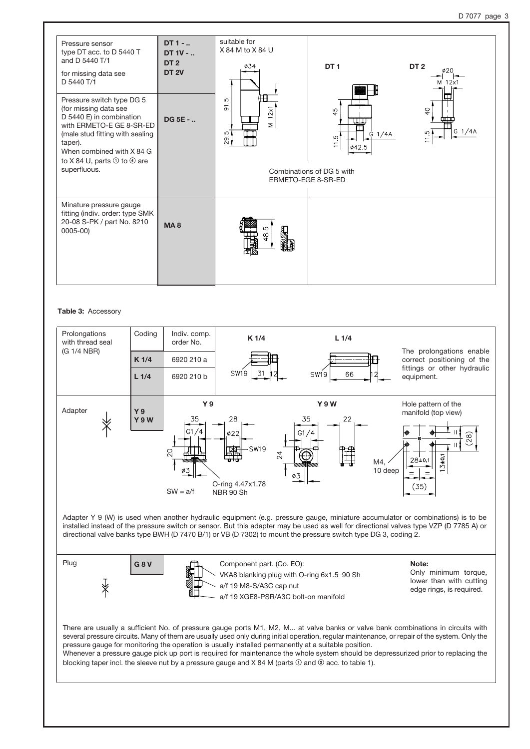| Pressure sensor<br>type DT acc. to D 5440 T<br>and D 5440 T/1<br>for missing data see<br>D 5440 T/1                                                                                                                                              | DT 1 -<br>DT 1V -<br>DT <sub>2</sub><br><b>DT 2V</b> | suitable for<br>X 84 M to X 84 U<br>ø34 | DT <sub>1</sub>                                                                                   | DT <sub>2</sub><br>Ø20<br>2x                           |
|--------------------------------------------------------------------------------------------------------------------------------------------------------------------------------------------------------------------------------------------------|------------------------------------------------------|-----------------------------------------|---------------------------------------------------------------------------------------------------|--------------------------------------------------------|
| Pressure switch type DG 5<br>(for missing data see<br>D 5440 E) in combination<br>with ERMETO-E GE 8-SR-ED<br>(male stud fitting with sealing<br>taper).<br>When combined with X 84 G<br>to X 84 U, parts $\odot$ to $\odot$ are<br>superfluous. | <b>DG 5E - </b>                                      | ÆĦ<br>91.5<br>12x1<br>Σ<br>29.5         | 45<br>$G$ 1/4A<br>்<br>$\overline{1}$<br>Ø42.5<br>Combinations of DG 5 with<br>ERMETO-EGE 8-SR-ED | $Q_{\frac{1}{2}}$<br>╥╥╥<br>$G$ 1/4A<br>$\frac{5}{11}$ |
| Minature pressure gauge<br>fitting (indiv. order: type SMK<br>20-08 S-PK / part No. 8210<br>$0005 - 00$                                                                                                                                          | <b>MA8</b>                                           |                                         |                                                                                                   |                                                        |

#### Table 3: Accessory

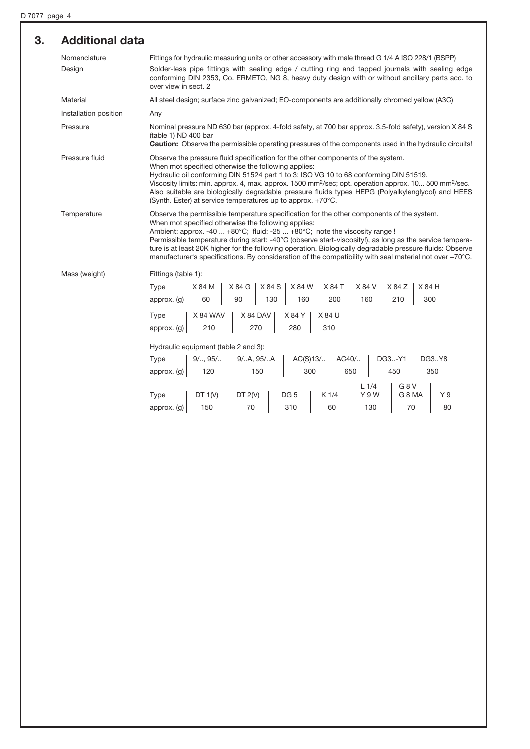| 3. | <b>Additional data</b> |                                                                                                                                                                                                                                                                                                                                                                                                                                                                                                                                                                                                                                                                                                                                                                                                                                                                                                                                                                                                                                                                                                            |                                                                                                |        |          |        |        |        |        |                                                                                                                                                                                                                          |  |  |
|----|------------------------|------------------------------------------------------------------------------------------------------------------------------------------------------------------------------------------------------------------------------------------------------------------------------------------------------------------------------------------------------------------------------------------------------------------------------------------------------------------------------------------------------------------------------------------------------------------------------------------------------------------------------------------------------------------------------------------------------------------------------------------------------------------------------------------------------------------------------------------------------------------------------------------------------------------------------------------------------------------------------------------------------------------------------------------------------------------------------------------------------------|------------------------------------------------------------------------------------------------|--------|----------|--------|--------|--------|--------|--------------------------------------------------------------------------------------------------------------------------------------------------------------------------------------------------------------------------|--|--|
|    | Nomenclature<br>Design | Fittings for hydraulic measuring units or other accessory with male thread G 1/4 A ISO 228/1 (BSPP)<br>Solder-less pipe fittings with sealing edge / cutting ring and tapped journals with sealing edge<br>conforming DIN 2353, Co. ERMETO, NG 8, heavy duty design with or without ancillary parts acc. to<br>over view in sect. 2                                                                                                                                                                                                                                                                                                                                                                                                                                                                                                                                                                                                                                                                                                                                                                        |                                                                                                |        |          |        |        |        |        |                                                                                                                                                                                                                          |  |  |
|    | Material               |                                                                                                                                                                                                                                                                                                                                                                                                                                                                                                                                                                                                                                                                                                                                                                                                                                                                                                                                                                                                                                                                                                            | All steel design; surface zinc galvanized; EO-components are additionally chromed yellow (A3C) |        |          |        |        |        |        |                                                                                                                                                                                                                          |  |  |
|    | Installation position  | Any                                                                                                                                                                                                                                                                                                                                                                                                                                                                                                                                                                                                                                                                                                                                                                                                                                                                                                                                                                                                                                                                                                        |                                                                                                |        |          |        |        |        |        |                                                                                                                                                                                                                          |  |  |
|    | Pressure               | (table 1) ND 400 bar                                                                                                                                                                                                                                                                                                                                                                                                                                                                                                                                                                                                                                                                                                                                                                                                                                                                                                                                                                                                                                                                                       |                                                                                                |        |          |        |        |        |        | Nominal pressure ND 630 bar (approx. 4-fold safety, at 700 bar approx. 3.5-fold safety), version X 84 S<br><b>Caution:</b> Observe the permissible operating pressures of the components used in the hydraulic circuits! |  |  |
|    | Pressure fluid         | Observe the pressure fluid specification for the other components of the system.<br>When mot specified otherwise the following applies:<br>Hydraulic oil conforming DIN 51524 part 1 to 3: ISO VG 10 to 68 conforming DIN 51519.<br>Viscosity limits: min. approx. 4, max. approx. 1500 mm <sup>2</sup> /sec; opt. operation approx. 10 500 mm <sup>2</sup> /sec.<br>Also suitable are biologically degradable pressure fluids types HEPG (Polyalkylenglycol) and HEES<br>(Synth. Ester) at service temperatures up to approx. +70°C.<br>Observe the permissible temperature specification for the other components of the system.<br>When mot specified otherwise the following applies:<br>Ambient: approx. -40  +80°C; fluid: -25  +80°C; note the viscosity range !<br>Permissible temperature during start: -40°C (observe start-viscosity!), as long as the service tempera-<br>ture is at least 20K higher for the following operation. Biologically degradable pressure fluids: Observe<br>manufacturer's specifications. By consideration of the compatibility with seal material not over +70°C. |                                                                                                |        |          |        |        |        |        |                                                                                                                                                                                                                          |  |  |
|    | Temperature            |                                                                                                                                                                                                                                                                                                                                                                                                                                                                                                                                                                                                                                                                                                                                                                                                                                                                                                                                                                                                                                                                                                            |                                                                                                |        |          |        |        |        |        |                                                                                                                                                                                                                          |  |  |
|    | Mass (weight)          | Fittings (table 1):                                                                                                                                                                                                                                                                                                                                                                                                                                                                                                                                                                                                                                                                                                                                                                                                                                                                                                                                                                                                                                                                                        |                                                                                                |        |          |        |        |        |        |                                                                                                                                                                                                                          |  |  |
|    |                        | <b>Type</b>                                                                                                                                                                                                                                                                                                                                                                                                                                                                                                                                                                                                                                                                                                                                                                                                                                                                                                                                                                                                                                                                                                | X 84 M                                                                                         | X 84 G | X 84 S   | X 84 W | X 84 T | X 84 V | X 84 Z | X 84 H                                                                                                                                                                                                                   |  |  |
|    |                        | approx. (g)                                                                                                                                                                                                                                                                                                                                                                                                                                                                                                                                                                                                                                                                                                                                                                                                                                                                                                                                                                                                                                                                                                | 60                                                                                             | 90     | 130      | 160    | 200    | 160    | 210    | 300                                                                                                                                                                                                                      |  |  |
|    |                        | <b>Type</b>                                                                                                                                                                                                                                                                                                                                                                                                                                                                                                                                                                                                                                                                                                                                                                                                                                                                                                                                                                                                                                                                                                | X 84 WAV                                                                                       |        | X 84 DAV | X 84 Y | X 84 U |        |        |                                                                                                                                                                                                                          |  |  |
|    |                        | approx. (g)                                                                                                                                                                                                                                                                                                                                                                                                                                                                                                                                                                                                                                                                                                                                                                                                                                                                                                                                                                                                                                                                                                | 210                                                                                            |        | 270      | 280    | 310    |        |        |                                                                                                                                                                                                                          |  |  |
|    |                        |                                                                                                                                                                                                                                                                                                                                                                                                                                                                                                                                                                                                                                                                                                                                                                                                                                                                                                                                                                                                                                                                                                            |                                                                                                |        |          |        |        |        |        |                                                                                                                                                                                                                          |  |  |

Hydraulic equipment (table 2 and 3):

| Type          | $9/$ $95/$ | 9/A, 95/A |  | $AC(S)13/$      |     | AC40/ |         | DG3-Y1 |                  |  | DG3Y8 |
|---------------|------------|-----------|--|-----------------|-----|-------|---------|--------|------------------|--|-------|
| approx. $(g)$ | 120        | 150       |  |                 | 300 |       | 650     |        | 450              |  | 350   |
|               |            |           |  |                 |     |       | $L$ 1/4 |        | G <sub>8</sub> V |  |       |
| Type          | DT $1(V)$  | DT $2(V)$ |  | DG <sub>5</sub> |     | K 1/4 |         | Y 9 W  | G 8 MA           |  | Y 9   |
| approx. $(g)$ | 150        | 70        |  | 310             |     | 60    |         | 130    | 70               |  | 80    |